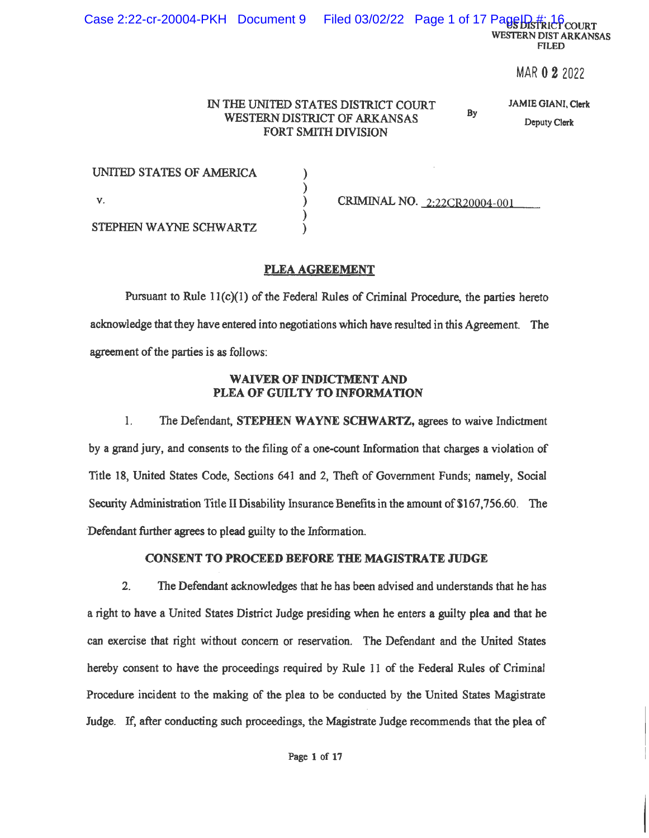MAR 0 2 2022

#### IN THE UNITED STATES DISTRICT COURT WESTERN DISTRICT OF ARKANSAS **FORT SMITH DIVISION**

**JAMIE GIANI, Clerk** 

Bv

Deputy Clerk

| UNITED STATES OF AMERICA |                              |
|--------------------------|------------------------------|
|                          |                              |
|                          | CRIMINAL NO. 2:22CR20004-001 |
|                          |                              |
| STEPHEN WAYNE SCHWARTZ   |                              |

## PLEA AGREEMENT

Pursuant to Rule  $11(c)(1)$  of the Federal Rules of Criminal Procedure, the parties hereto acknowledge that they have entered into negotiations which have resulted in this Agreement. The agreement of the parties is as follows:

### **WAIVER OF INDICTMENT AND** PLEA OF GUILTY TO INFORMATION

 $1.$ The Defendant, STEPHEN WAYNE SCHWARTZ, agrees to waive Indictment by a grand jury, and consents to the filing of a one-count Information that charges a violation of Title 18, United States Code, Sections 641 and 2, Theft of Government Funds; namely, Social Security Administration Title II Disability Insurance Benefits in the amount of \$167,756.60. The Defendant further agrees to plead guilty to the Information.

## **CONSENT TO PROCEED BEFORE THE MAGISTRATE JUDGE**

 $2<sub>1</sub>$ The Defendant acknowledges that he has been advised and understands that he has a right to have a United States District Judge presiding when he enters a guilty plea and that he can exercise that right without concern or reservation. The Defendant and the United States hereby consent to have the proceedings required by Rule 11 of the Federal Rules of Criminal Procedure incident to the making of the plea to be conducted by the United States Magistrate Judge. If, after conducting such proceedings, the Magistrate Judge recommends that the plea of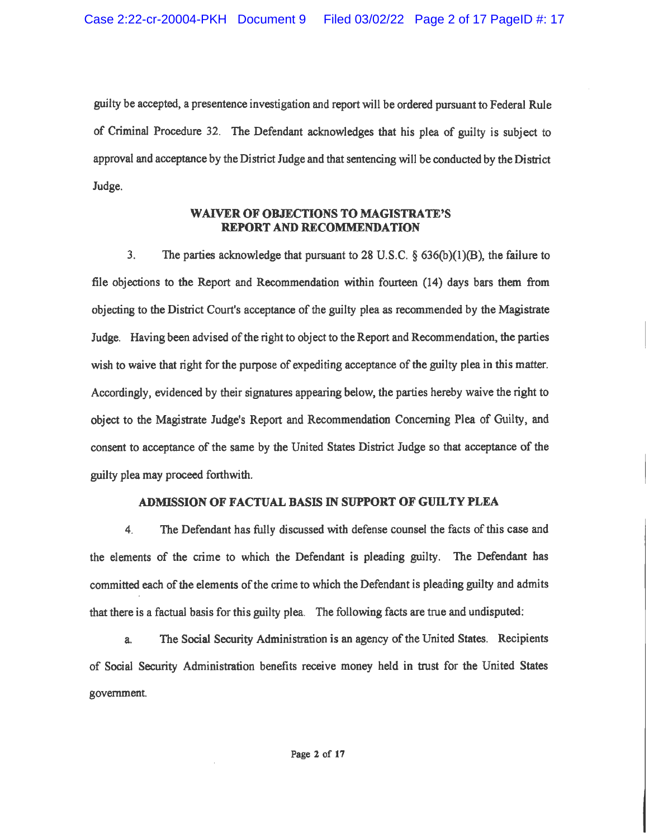guilty be accepted, a presentence investigation and report will be ordered pursuant to Federal Rule of Criminal Procedure 32. The Defendant acknowledges that his plea of guilty is subject to approval and acceptance by the District Judge and that sentencing will be conducted by the District Judge.

#### **WAIVER OF OBJECTIONS TO MAGISTRATE'S REPORT AND RECOMMENDATION**

 $3<sub>1</sub>$ The parties acknowledge that pursuant to 28 U.S.C.  $\S$  636(b)(1)(B), the failure to file objections to the Report and Recommendation within fourteen (14) days bars them from objecting to the District Court's acceptance of the guilty plea as recommended by the Magistrate Judge. Having been advised of the right to object to the Report and Recommendation, the parties wish to waive that right for the purpose of expediting acceptance of the guilty plea in this matter. Accordingly, evidenced by their signatures appearing below, the parties hereby waive the right to object to the Magistrate Judge's Report and Recommendation Concerning Plea of Guilty, and consent to acceptance of the same by the United States District Judge so that acceptance of the guilty plea may proceed forthwith.

## ADMISSION OF FACTUAL BASIS IN SUPPORT OF GUILTY PLEA

The Defendant has fully discussed with defense counsel the facts of this case and  $\overline{4}$ . the elements of the crime to which the Defendant is pleading guilty. The Defendant has committed each of the elements of the crime to which the Defendant is pleading guilty and admits that there is a factual basis for this guilty plea. The following facts are true and undisputed:

The Social Security Administration is an agency of the United States. Recipients  $a_{\cdot}$ of Social Security Administration benefits receive money held in trust for the United States government.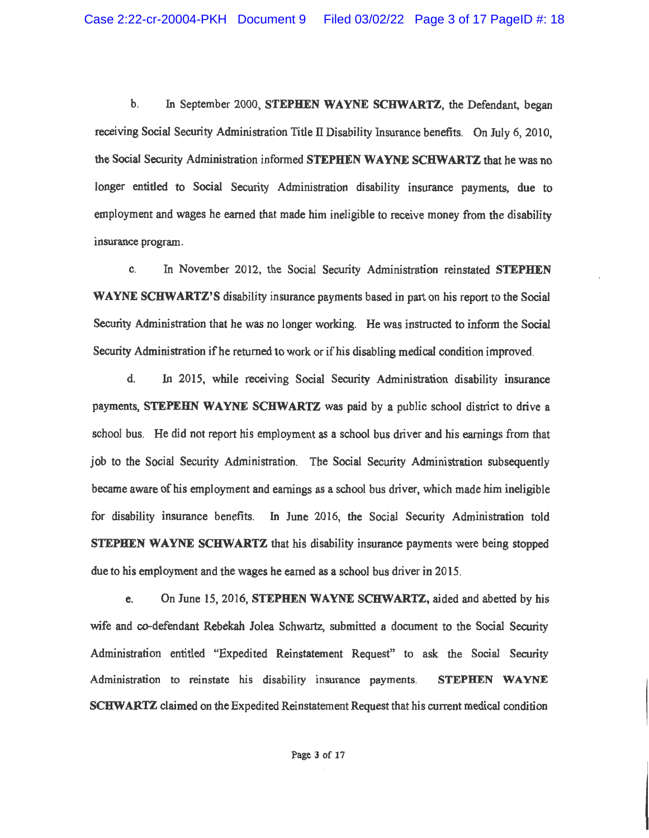$\mathbf{b}$ . In September 2000, STEPHEN WAYNE SCHWARTZ, the Defendant, began receiving Social Security Administration Title II Disability Insurance benefits. On July 6, 2010, the Social Security Administration informed STEPHEN WAYNE SCHWARTZ that he was no longer entitled to Social Security Administration disability insurance payments, due to employment and wages he earned that made him ineligible to receive money from the disability insurance program.

In November 2012, the Social Security Administration reinstated STEPHEN  $\mathbf{c}$ **WAYNE SCHWARTZ'S** disability insurance payments based in part on his report to the Social Security Administration that he was no longer working. He was instructed to inform the Social Security Administration if he returned to work or if his disabling medical condition improved.

 $\mathbf{d}$ . In 2015, while receiving Social Security Administration disability insurance payments, STEPEHN WAYNE SCHWARTZ was paid by a public school district to drive a school bus. He did not report his employment as a school bus driver and his earnings from that job to the Social Security Administration. The Social Security Administration subsequently became aware of his employment and earnings as a school bus driver, which made him ineligible for disability insurance benefits. In June 2016, the Social Security Administration told STEPHEN WAYNE SCHWARTZ that his disability insurance payments were being stopped due to his employment and the wages he earned as a school bus driver in 2015.

On June 15, 2016. STEPHEN WAYNE SCHWARTZ, aided and abetted by his e. wife and co-defendant Rebekah Jolea Schwartz, submitted a document to the Social Security Administration entitled "Expedited Reinstatement Request" to ask the Social Security Administration to reinstate his disability insurance payments. STEPHEN WAYNE SCHWARTZ claimed on the Expedited Reinstatement Request that his current medical condition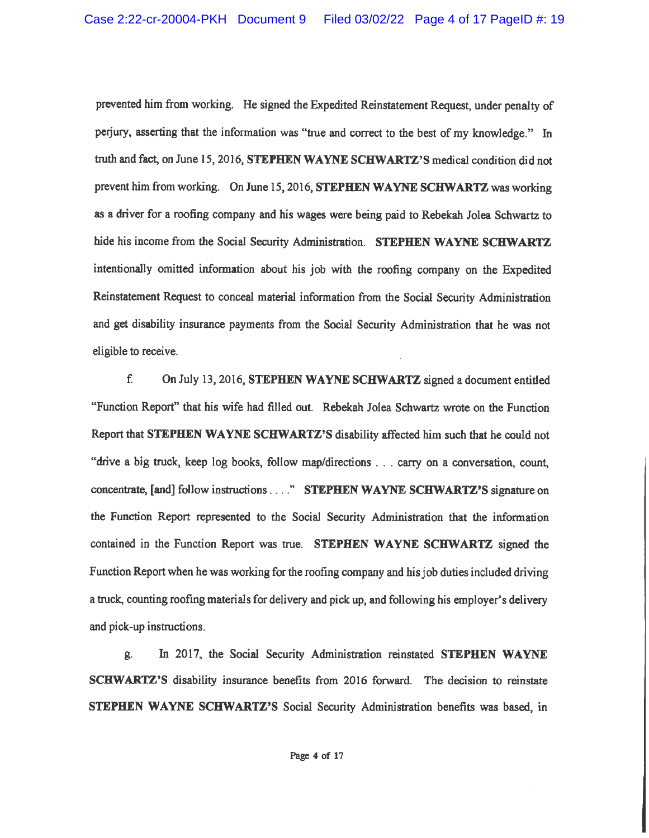prevented him from working. He signed the Expedited Reinstatement Request, under penalty of perjury, asserting that the information was "true and correct to the best of my knowledge." In truth and fact, on June 15, 2016, STEPHEN WAYNE SCHWARTZ'S medical condition did not prevent him from working. On June 15, 2016, STEPHEN WAYNE SCHWARTZ was working as a driver for a roofing company and his wages were being paid to Rebekah Jolea Schwartz to hide his income from the Social Security Administration. STEPHEN WAYNE SCHWARTZ intentionally omitted information about his job with the roofing company on the Expedited Reinstatement Request to conceal material information from the Social Security Administration and get disability insurance payments from the Social Security Administration that he was not eligible to receive.

f. On July 13, 2016, STEPHEN WAYNE SCHWARTZ signed a document entitled "Function Report" that his wife had filled out. Rebekah Jolea Schwartz wrote on the Function Report that STEPHEN WAYNE SCHWARTZ'S disability affected him such that he could not "drive a big truck, keep log books, follow map/directions . . . carry on a conversation, count, concentrate, [and] follow instructions ...." STEPHEN WAYNE SCHWARTZ'S signature on the Function Report represented to the Social Security Administration that the information contained in the Function Report was true. STEPHEN WAYNE SCHWARTZ signed the Function Report when he was working for the roofing company and his job duties included driving a truck, counting roofing materials for delivery and pick up, and following his employer's delivery and pick-up instructions.

In 2017, the Social Security Administration reinstated STEPHEN WAYNE g. **SCHWARTZ'S** disability insurance benefits from 2016 forward. The decision to reinstate STEPHEN WAYNE SCHWARTZ'S Social Security Administration benefits was based, in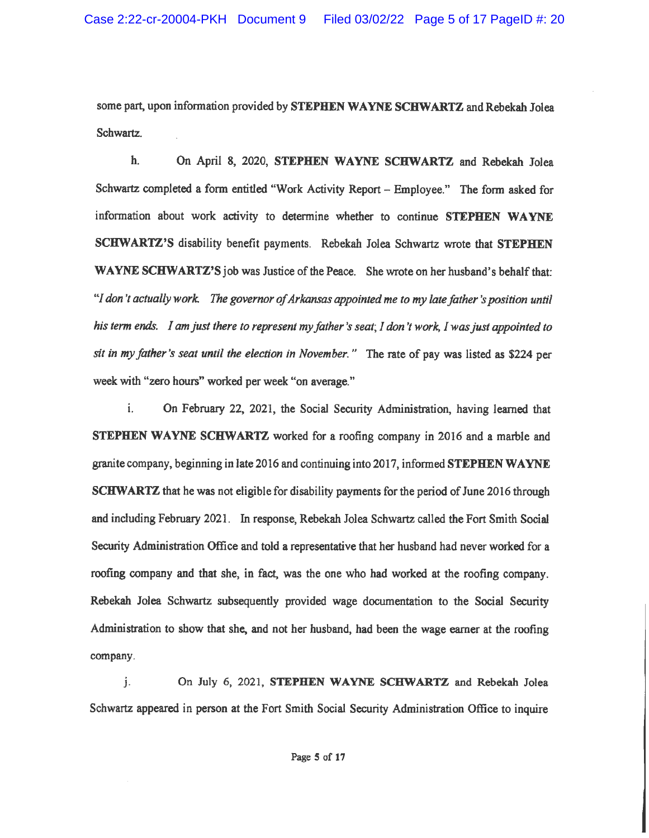some part, upon information provided by STEPHEN WAYNE SCHWARTZ and Rebekah Jolea Schwartz.

h. On April 8, 2020, STEPHEN WAYNE SCHWARTZ and Rebekah Jolea Schwartz completed a form entitled "Work Activity Report - Employee." The form asked for information about work activity to determine whether to continue STEPHEN WAYNE **SCHWARTZ'S** disability benefit payments. Rebekah Jolea Schwartz wrote that **STEPHEN WAYNE SCHWARTZ'S** job was Justice of the Peace. She wrote on her husband's behalf that: "I don't actually work. The governor of Arkansas appointed me to my late father's position until his term ends. I am just there to represent my father's seat; I don't work, I was just appointed to sit in my father's seat until the election in November." The rate of pay was listed as \$224 per week with "zero hours" worked per week "on average."

 $\mathbf{i}$ . On February 22, 2021, the Social Security Administration, having learned that **STEPHEN WAYNE SCHWARTZ** worked for a roofing company in 2016 and a marble and granite company, beginning in late 2016 and continuing into 2017, informed **STEPHEN WAYNE SCHWARTZ** that he was not eligible for disability payments for the period of June 2016 through and including February 2021. In response, Rebekah Jolea Schwartz called the Fort Smith Social Security Administration Office and told a representative that her husband had never worked for a roofing company and that she, in fact, was the one who had worked at the roofing company. Rebekah Jolea Schwartz subsequently provided wage documentation to the Social Security Administration to show that she, and not her husband, had been the wage earner at the roofing company.

 $\mathbf{i}$ . On July 6, 2021, STEPHEN WAYNE SCHWARTZ and Rebekah Jolea Schwartz appeared in person at the Fort Smith Social Security Administration Office to inquire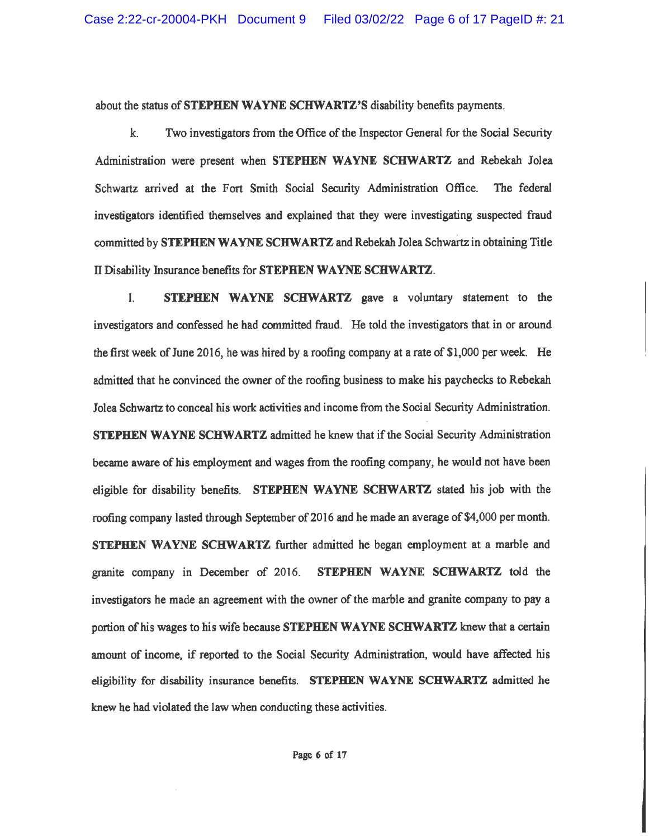about the status of STEPHEN WAYNE SCHWARTZ'S disability benefits payments.

k. Two investigators from the Office of the Inspector General for the Social Security Administration were present when STEPHEN WAYNE SCHWARTZ and Rebekah Jolea Schwartz arrived at the Fort Smith Social Security Administration Office. The federal investigators identified themselves and explained that they were investigating suspected fraud committed by STEPHEN WAYNE SCHWARTZ and Rebekah Jolea Schwartz in obtaining Title Il Disability Insurance benefits for STEPHEN WAYNE SCHWARTZ.

STEPHEN WAYNE SCHWARTZ gave a voluntary statement to the  $\mathbf{L}$ investigators and confessed he had committed fraud. He told the investigators that in or around the first week of June 2016, he was hired by a roofing company at a rate of \$1,000 per week. He admitted that he convinced the owner of the roofing business to make his paychecks to Rebekah Jolea Schwartz to conceal his work activities and income from the Social Security Administration. **STEPHEN WAYNE SCHWARTZ** admitted he knew that if the Social Security Administration became aware of his employment and wages from the roofing company, he would not have been eligible for disability benefits. STEPHEN WAYNE SCHWARTZ stated his job with the roofing company lasted through September of 2016 and he made an average of \$4,000 per month. STEPHEN WAYNE SCHWARTZ further admitted he began employment at a marble and granite company in December of 2016. STEPHEN WAYNE SCHWARTZ told the investigators he made an agreement with the owner of the marble and granite company to pay a portion of his wages to his wife because STEPHEN WAYNE SCHWARTZ knew that a certain amount of income, if reported to the Social Security Administration, would have affected his eligibility for disability insurance benefits. STEPHEN WAYNE SCHWARTZ admitted he knew he had violated the law when conducting these activities.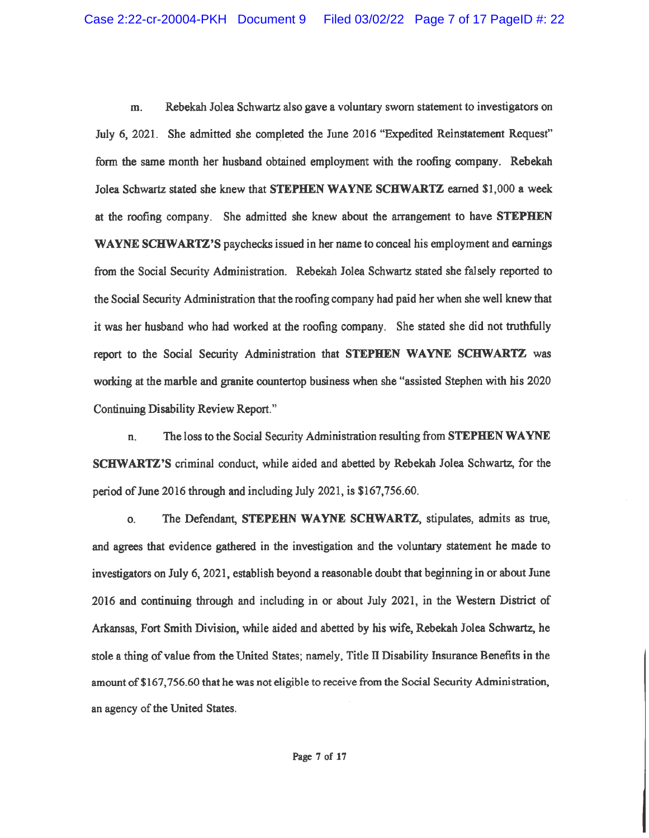m. Rebekah Jolea Schwartz also gave a voluntary sworn statement to investigators on July 6, 2021. She admitted she completed the June 2016 "Expedited Reinstatement Request" form the same month her husband obtained employment with the roofing company. Rebekah Jolea Schwartz stated she knew that STEPHEN WAYNE SCHWARTZ earned \$1,000 a week at the roofing company. She admitted she knew about the arrangement to have STEPHEN WAYNE SCHWARTZ'S paychecks issued in her name to conceal his employment and earnings from the Social Security Administration. Rebekah Jolea Schwartz stated she falsely reported to the Social Security Administration that the roofing company had paid her when she well knew that it was her husband who had worked at the roofing company. She stated she did not truthfully report to the Social Security Administration that STEPHEN WAYNE SCHWARTZ was working at the marble and granite countertop business when she "assisted Stephen with his 2020 Continuing Disability Review Report."

The loss to the Social Security Administration resulting from STEPHEN WAYNE n. **SCHWARTZ'S** criminal conduct, while aided and abetted by Rebekah Jolea Schwartz, for the period of June 2016 through and including July 2021, is \$167,756.60.

The Defendant, STEPEHN WAYNE SCHWARTZ, stipulates, admits as true, O. and agrees that evidence gathered in the investigation and the voluntary statement he made to investigators on July 6, 2021, establish beyond a reasonable doubt that beginning in or about June 2016 and continuing through and including in or about July 2021, in the Western District of Arkansas, Fort Smith Division, while aided and abetted by his wife, Rebekah Jolea Schwartz, he stole a thing of value from the United States; namely, Title II Disability Insurance Benefits in the amount of \$167,756.60 that he was not eligible to receive from the Social Security Administration, an agency of the United States.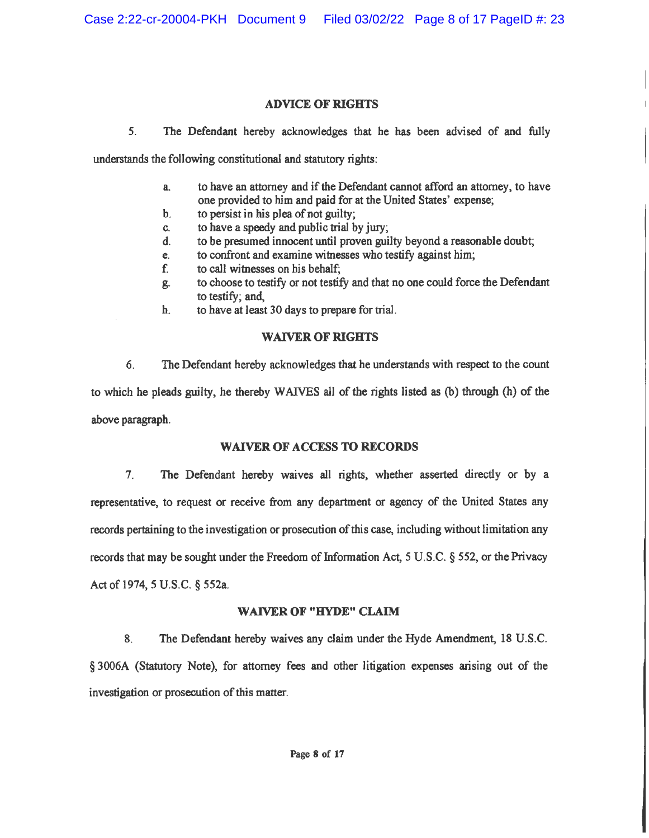### **ADVICE OF RIGHTS**

 $5<sub>1</sub>$ The Defendant hereby acknowledges that he has been advised of and fully

understands the following constitutional and statutory rights:

- to have an attorney and if the Defendant cannot afford an attorney, to have  $a<sub>1</sub>$ one provided to him and paid for at the United States' expense;
- to persist in his plea of not guilty; b.
- to have a speedy and public trial by jury; C.
- to be presumed innocent until proven guilty beyond a reasonable doubt; đ.
- to confront and examine witnesses who testify against him; e.
- to call witnesses on his behalf; f.
- to choose to testify or not testify and that no one could force the Defendant g. to testify; and.
- to have at least 30 days to prepare for trial.  $\mathbf{h}$ .

## **WAIVER OF RIGHTS**

 $6.$ The Defendant hereby acknowledges that he understands with respect to the count to which he pleads guilty, he thereby WAIVES all of the rights listed as (b) through (h) of the above paragraph.

## **WAIVER OF ACCESS TO RECORDS**

 $7<sub>1</sub>$ The Defendant hereby waives all rights, whether asserted directly or by a representative, to request or receive from any department or agency of the United States any records pertaining to the investigation or prosecution of this case, including without limitation any records that may be sought under the Freedom of Information Act, 5 U.S.C. § 552, or the Privacy Act of 1974, 5 U.S.C. § 552a.

## **WAIVER OF "HYDE" CLAIM**

The Defendant hereby waives any claim under the Hyde Amendment, 18 U.S.C. 8. § 3006A (Statutory Note), for attorney fees and other litigation expenses arising out of the investigation or prosecution of this matter.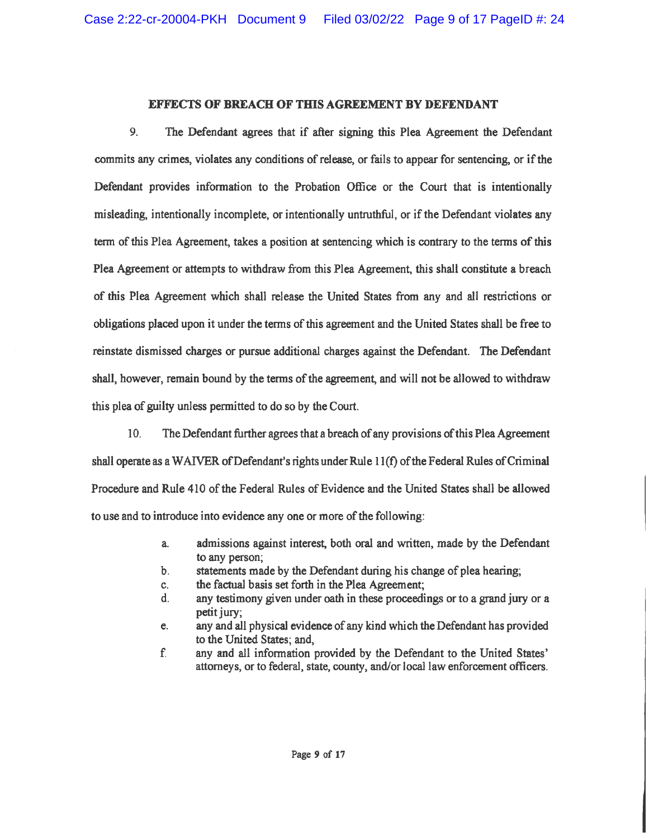#### **EFFECTS OF BREACH OF THIS AGREEMENT BY DEFENDANT**

9. The Defendant agrees that if after signing this Plea Agreement the Defendant commits any crimes, violates any conditions of release, or fails to appear for sentencing, or if the Defendant provides information to the Probation Office or the Court that is intentionally misleading, intentionally incomplete, or intentionally untruthful, or if the Defendant violates any term of this Plea Agreement, takes a position at sentencing which is contrary to the terms of this Plea Agreement or attempts to withdraw from this Plea Agreement, this shall constitute a breach of this Plea Agreement which shall release the United States from any and all restrictions or obligations placed upon it under the terms of this agreement and the United States shall be free to reinstate dismissed charges or pursue additional charges against the Defendant. The Defendant shall, however, remain bound by the terms of the agreement, and will not be allowed to withdraw this plea of guilty unless permitted to do so by the Court.

 $10<sub>1</sub>$ The Defendant further agrees that a breach of any provisions of this Plea Agreement shall operate as a WAIVER of Defendant's rights under Rule  $11(f)$  of the Federal Rules of Criminal Procedure and Rule 410 of the Federal Rules of Evidence and the United States shall be allowed to use and to introduce into evidence any one or more of the following:

- admissions against interest, both oral and written, made by the Defendant a. to any person;
- statements made by the Defendant during his change of plea hearing; b.
- the factual basis set forth in the Plea Agreement; c.
- any testimony given under oath in these proceedings or to a grand jury or a  $\mathbf{d}$ . petit jury:
- any and all physical evidence of any kind which the Defendant has provided e. to the United States; and,
- f. any and all information provided by the Defendant to the United States' attorneys, or to federal, state, county, and/or local law enforcement officers.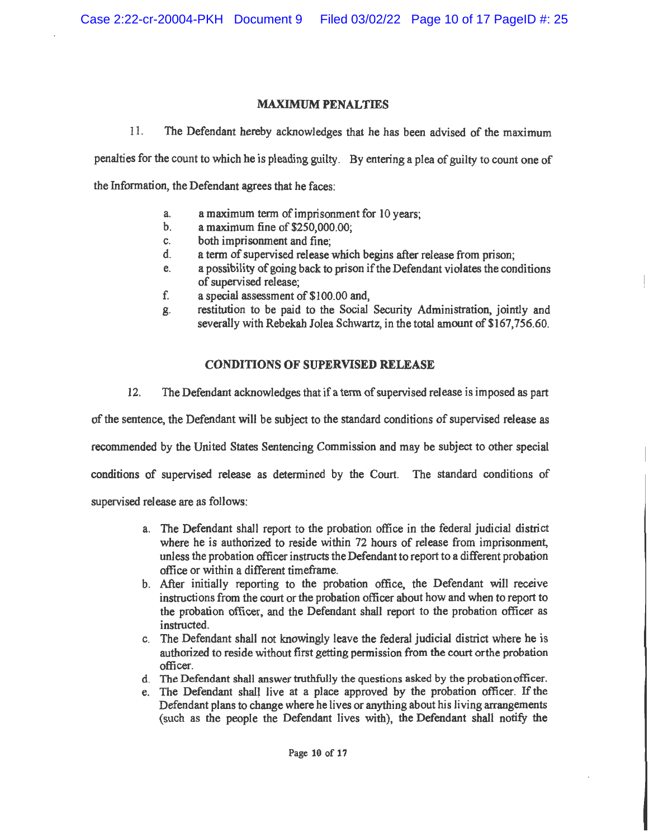## **MAXIMUM PENALTIES**

 $11.$ The Defendant hereby acknowledges that he has been advised of the maximum

penalties for the count to which he is pleading guilty. By entering a plea of guilty to count one of

the Information, the Defendant agrees that he faces:

- a maximum term of imprisonment for 10 years;  $\mathbf{a}$
- $\mathbf{b}$ . a maximum fine of \$250,000.00;
- both imprisonment and fine:  $\mathbf{c}$ .
- a term of supervised release which begins after release from prison; d.
- a possibility of going back to prison if the Defendant violates the conditions e. of supervised release:
- f. a special assessment of \$100.00 and.
- restitution to be paid to the Social Security Administration, jointly and ጀ. severally with Rebekah Jolea Schwartz, in the total amount of \$167,756.60.

## **CONDITIONS OF SUPERVISED RELEASE**

 $12.$ The Defendant acknowledges that if a term of supervised release is imposed as part

of the sentence, the Defendant will be subject to the standard conditions of supervised release as

recommended by the United States Sentencing Commission and may be subject to other special

conditions of supervised release as determined by the Court. The standard conditions of

supervised release are as follows:

- a. The Defendant shall report to the probation office in the federal judicial district where he is authorized to reside within 72 hours of release from imprisonment, unless the probation officer instructs the Defendant to report to a different probation office or within a different timeframe.
- b. After initially reporting to the probation office, the Defendant will receive instructions from the court or the probation officer about how and when to report to the probation officer, and the Defendant shall report to the probation officer as instructed.
- c. The Defendant shall not knowingly leave the federal judicial district where he is authorized to reside without first getting permission from the court or the probation officer.
- d. The Defendant shall answer truthfully the questions asked by the probation officer.
- e. The Defendant shall live at a place approved by the probation officer. If the Defendant plans to change where he lives or anything about his living arrangements (such as the people the Defendant lives with), the Defendant shall notify the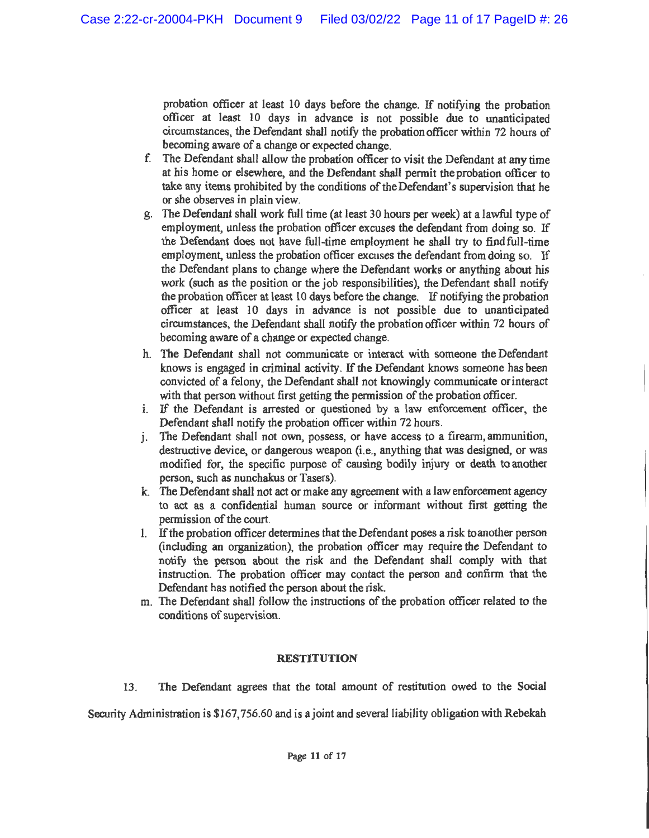probation officer at least 10 days before the change. If notifying the probation officer at least 10 days in advance is not possible due to unanticipated circumstances, the Defendant shall notify the probation officer within 72 hours of becoming aware of a change or expected change.

- f. The Defendant shall allow the probation officer to visit the Defendant at any time at his home or elsewhere, and the Defendant shall permit the probation officer to take any items prohibited by the conditions of the Defendant's supervision that he or she observes in plain view.
- g. The Defendant shall work full time (at least 30 hours per week) at a lawful type of employment, unless the probation officer excuses the defendant from doing so. If the Defendant does not have full-time employment he shall try to find full-time employment, unless the probation officer excuses the defendant from doing so. If the Defendant plans to change where the Defendant works or anything about his work (such as the position or the job responsibilities), the Defendant shall notify the probation officer at least 10 days before the change. If notifying the probation officer at least 10 days in advance is not possible due to unanticipated circumstances, the Defendant shall notify the probation officer within 72 hours of becoming aware of a change or expected change.
- h. The Defendant shall not communicate or interact with someone the Defendant knows is engaged in criminal activity. If the Defendant knows someone has been convicted of a felony, the Defendant shall not knowingly communicate or interact with that person without first getting the permission of the probation officer.
- i. If the Defendant is arrested or questioned by a law enforcement officer, the Defendant shall notify the probation officer within 72 hours.
- j. The Defendant shall not own, possess, or have access to a firearm, ammunition, destructive device, or dangerous weapon (i.e., anything that was designed, or was modified for, the specific purpose of causing bodily injury or death to another person, such as nunchakus or Tasers).
- k. The Defendant shall not act or make any agreement with a law enforcement agency to act as a confidential human source or informant without first getting the permission of the court.
- 1. If the probation officer determines that the Defendant poses a risk to another person (including an organization), the probation officer may require the Defendant to notify the person about the risk and the Defendant shall comply with that instruction. The probation officer may contact the person and confirm that the Defendant has notified the person about the risk.
- m. The Defendant shall follow the instructions of the probation officer related to the conditions of supervision.

## **RESTITUTION**

The Defendant agrees that the total amount of restitution owed to the Social  $13.$ 

Security Administration is \$167,756.60 and is a joint and several liability obligation with Rebekah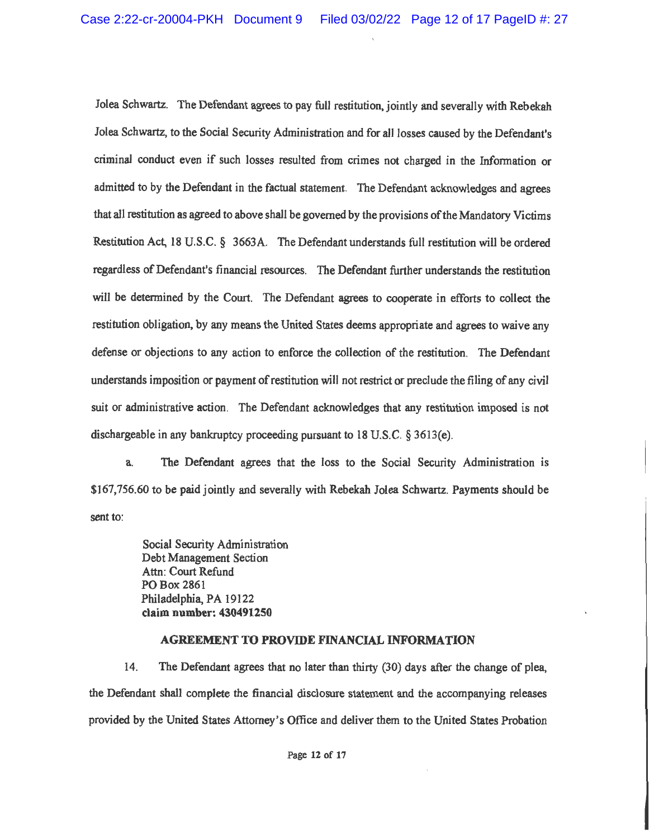Jolea Schwartz. The Defendant agrees to pay full restitution, jointly and severally with Rebekah Jolea Schwartz, to the Social Security Administration and for all losses caused by the Defendant's criminal conduct even if such losses resulted from crimes not charged in the Information or admitted to by the Defendant in the factual statement. The Defendant acknowledges and agrees that all restitution as agreed to above shall be governed by the provisions of the Mandatory Victims Restitution Act, 18 U.S.C. § 3663A. The Defendant understands full restitution will be ordered regardless of Defendant's financial resources. The Defendant further understands the restitution will be determined by the Court. The Defendant agrees to cooperate in efforts to collect the restitution obligation, by any means the United States deems appropriate and agrees to waive any defense or objections to any action to enforce the collection of the restitution. The Defendant understands imposition or payment of restitution will not restrict or preclude the filing of any civil suit or administrative action. The Defendant acknowledges that any restitution imposed is not dischargeable in any bankruptcy proceeding pursuant to 18 U.S.C. § 3613(e).

The Defendant agrees that the loss to the Social Security Administration is  $a<sub>1</sub>$ \$167,756.60 to be paid jointly and severally with Rebekah Jolea Schwartz. Payments should be sent to:

> Social Security Administration Debt Management Section Attn: Court Refund PO Box 2861 Philadelphia, PA 19122 claim number: 430491250

## **AGREEMENT TO PROVIDE FINANCIAL INFORMATION**

14. The Defendant agrees that no later than thirty (30) days after the change of plea. the Defendant shall complete the financial disclosure statement and the accompanying releases provided by the United States Attorney's Office and deliver them to the United States Probation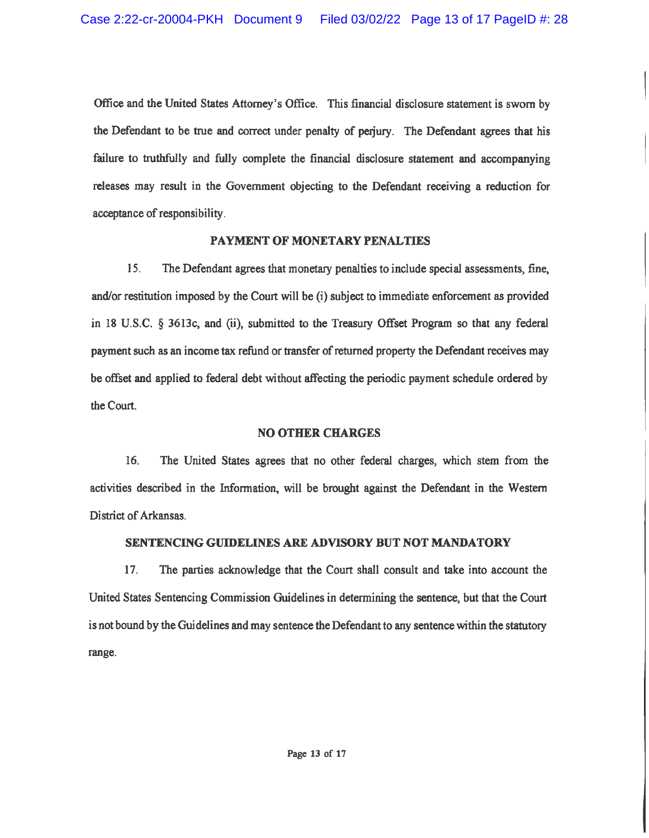Office and the United States Attorney's Office. This financial disclosure statement is sworn by the Defendant to be true and correct under penalty of perjury. The Defendant agrees that his failure to truthfully and fully complete the financial disclosure statement and accompanying releases may result in the Government objecting to the Defendant receiving a reduction for acceptance of responsibility.

## PAYMENT OF MONETARY PENALTIES

15. The Defendant agrees that monetary penalties to include special assessments, fine, and/or restitution imposed by the Court will be (i) subject to immediate enforcement as provided in 18 U.S.C. § 3613c, and (ii), submitted to the Treasury Offset Program so that any federal payment such as an income tax refund or transfer of returned property the Defendant receives may be offset and applied to federal debt without affecting the periodic payment schedule ordered by the Court.

## **NO OTHER CHARGES**

 $16.$ The United States agrees that no other federal charges, which stem from the activities described in the Information, will be brought against the Defendant in the Western District of Arkansas.

# SENTENCING GUIDELINES ARE ADVISORY BUT NOT MANDATORY

The parties acknowledge that the Court shall consult and take into account the 17. United States Sentencing Commission Guidelines in determining the sentence, but that the Court is not bound by the Guidelines and may sentence the Defendant to any sentence within the statutory range.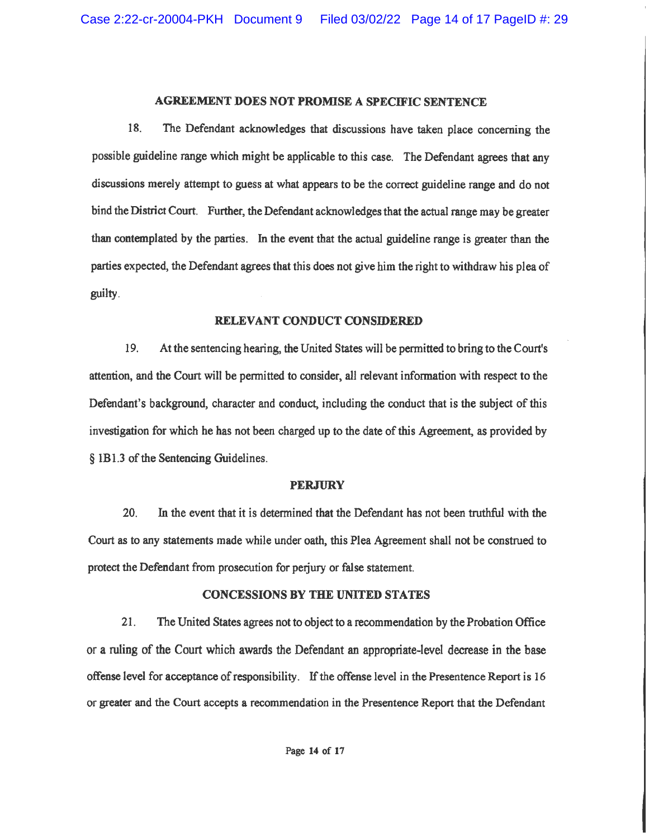### **AGREEMENT DOES NOT PROMISE A SPECIFIC SENTENCE**

18. The Defendant acknowledges that discussions have taken place concerning the possible guideline range which might be applicable to this case. The Defendant agrees that any discussions merely attempt to guess at what appears to be the correct guideline range and do not bind the District Court. Further, the Defendant acknowledges that the actual range may be greater than contemplated by the parties. In the event that the actual guideline range is greater than the parties expected, the Defendant agrees that this does not give him the right to withdraw his plea of guilty.

#### RELEVANT CONDUCT CONSIDERED

19. At the sentencing hearing, the United States will be permitted to bring to the Court's attention, and the Court will be permitted to consider, all relevant information with respect to the Defendant's background, character and conduct, including the conduct that is the subject of this investigation for which he has not been charged up to the date of this Agreement, as provided by § 1B1.3 of the Sentencing Guidelines.

#### **PERJURY**

20. In the event that it is determined that the Defendant has not been truthful with the Court as to any statements made while under oath, this Plea Agreement shall not be construed to protect the Defendant from prosecution for perjury or false statement.

#### **CONCESSIONS BY THE UNITED STATES**

 $21.$ The United States agrees not to object to a recommendation by the Probation Office or a ruling of the Court which awards the Defendant an appropriate-level decrease in the base offense level for acceptance of responsibility. If the offense level in the Presentence Report is 16 or greater and the Court accepts a recommendation in the Presentence Report that the Defendant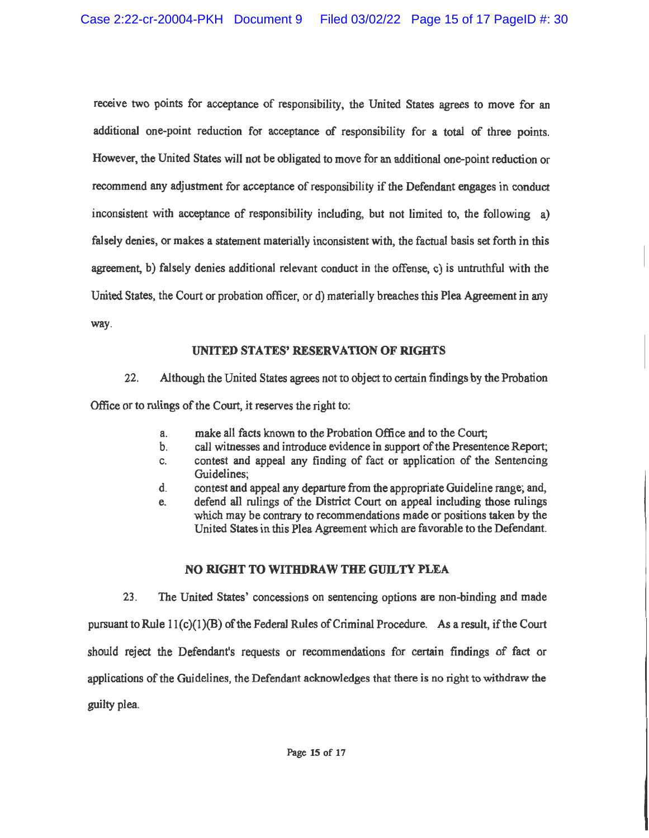receive two points for acceptance of responsibility, the United States agrees to move for an additional one-point reduction for acceptance of responsibility for a total of three points. However, the United States will not be obligated to move for an additional one-point reduction or recommend any adjustment for acceptance of responsibility if the Defendant engages in conduct inconsistent with acceptance of responsibility including, but not limited to, the following a) falsely denies, or makes a statement materially inconsistent with, the factual basis set forth in this agreement, b) falsely denies additional relevant conduct in the offense, c) is untruthful with the United States, the Court or probation officer, or d) materially breaches this Plea Agreement in any way.

## **UNITED STATES' RESERVATION OF RIGHTS**

 $22$ Although the United States agrees not to object to certain findings by the Probation

Office or to rulings of the Court, it reserves the right to:

- make all facts known to the Probation Office and to the Court; a.
- call witnesses and introduce evidence in support of the Presentence Report;  $\mathbf b$ .
- contest and appeal any finding of fact or application of the Sentencing C. Guidelines;
- d. contest and appeal any departure from the appropriate Guideline range; and,
- defend all rulings of the District Court on appeal including those rulings e. which may be contrary to recommendations made or positions taken by the United States in this Plea Agreement which are favorable to the Defendant.

# NO RIGHT TO WITHDRAW THE GUILTY PLEA

 $23<sub>1</sub>$ The United States' concessions on sentencing options are non-binding and made pursuant to Rule 11(c)(1)(B) of the Federal Rules of Criminal Procedure. As a result, if the Court should reject the Defendant's requests or recommendations for certain findings of fact or applications of the Guidelines, the Defendant acknowledges that there is no right to withdraw the guilty plea.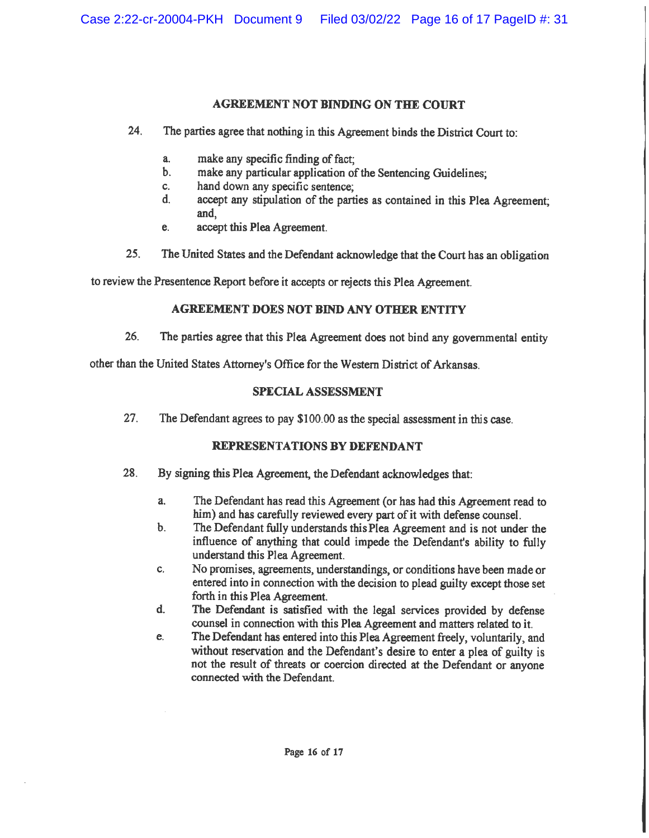## **AGREEMENT NOT BINDING ON THE COURT**

- 24. The parties agree that nothing in this Agreement binds the District Court to:
	- a. make any specific finding of fact;
	- make any particular application of the Sentencing Guidelines; b.
	- hand down any specific sentence: c.
	- $\mathbf{d}$ accept any stipulation of the parties as contained in this Plea Agreement: and.
	- accept this Plea Agreement. e.
- $25.$ The United States and the Defendant acknowledge that the Court has an obligation

to review the Presentence Report before it accepts or rejects this Plea Agreement.

## **AGREEMENT DOES NOT BIND ANY OTHER ENTITY**

26. The parties agree that this Plea Agreement does not bind any governmental entity

other than the United States Attorney's Office for the Western District of Arkansas.

## **SPECIAL ASSESSMENT**

 $27.$ The Defendant agrees to pay \$100.00 as the special assessment in this case.

## REPRESENTATIONS BY DEFENDANT

- 28. By signing this Plea Agreement, the Defendant acknowledges that:
	- $a<sub>z</sub>$ The Defendant has read this Agreement (or has had this Agreement read to him) and has carefully reviewed every part of it with defense counsel.
	- The Defendant fully understands this Plea Agreement and is not under the  $\mathbf b$ . influence of anything that could impede the Defendant's ability to fully understand this Plea Agreement.
	- No promises, agreements, understandings, or conditions have been made or C. entered into in connection with the decision to plead guilty except those set forth in this Plea Agreement.
	- d. The Defendant is satisfied with the legal services provided by defense counsel in connection with this Plea Agreement and matters related to it.
	- The Defendant has entered into this Plea Agreement freely, voluntarily, and e. without reservation and the Defendant's desire to enter a plea of guilty is not the result of threats or coercion directed at the Defendant or anyone connected with the Defendant